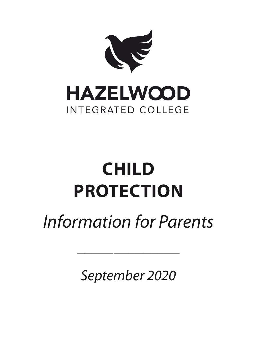

# **CHILD PROTECTION**

## *Information for Parents*

 $\mathcal{L}$ 

*September 2020*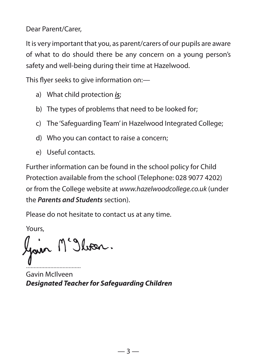Dear Parent/Carer,

It is very important that you, as parent/carers of our pupils are aware of what to do should there be any concern on a young person's safety and well-being during their time at Hazelwood.

This flyer seeks to give information on:-

- a) What child protection *is*;
- b) The types of problems that need to be looked for;
- c) The 'Safeguarding Team' in Hazelwood Integrated College;
- d) Who you can contact to raise a concern;
- e) Useful contacts.

Further information can be found in the school policy for Child Protection available from the school (Telephone: 028 9077 4202) or from the College website at *www.hazelwoodcollege.co.uk* (under the *Parents and Students* section).

Please do not hesitate to contact us at any time.

Yours,

Gain M'Ilvan.

.................................... Gavin McIlveen *Designated Teacher for Safeguarding Children*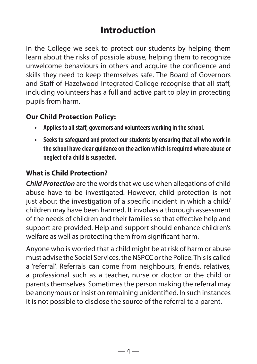### **Introduction**

In the College we seek to protect our students by helping them learn about the risks of possible abuse, helping them to recognize unwelcome behaviours in others and acquire the confidence and skills they need to keep themselves safe. The Board of Governors and Staff of Hazelwood Integrated College recognise that all staff, including volunteers has a full and active part to play in protecting pupils from harm.

### **Our Child Protection Policy:**

- **• Applies to all staff, governors and volunteers working in the school.**
- **• Seeks to safeguard and protect our students by ensuring that all who work in the school have clear guidance on the action which is required where abuse or neglect of a child is suspected.**

### **What is Child Protection?**

*Child Protection* are the words that we use when allegations of child abuse have to be investigated. However, child protection is not just about the investigation of a specific incident in which a child/ children may have been harmed. It involves a thorough assessment of the needs of children and their families so that effective help and support are provided. Help and support should enhance children's welfare as well as protecting them from significant harm.

Anyone who is worried that a child might be at risk of harm or abuse must advise the Social Services, the NSPCC or the Police. This is called a 'referral'. Referrals can come from neighbours, friends, relatives, a professional such as a teacher, nurse or doctor or the child or parents themselves. Sometimes the person making the referral may be anonymous or insist on remaining unidentified. In such instances it is not possible to disclose the source of the referral to a parent.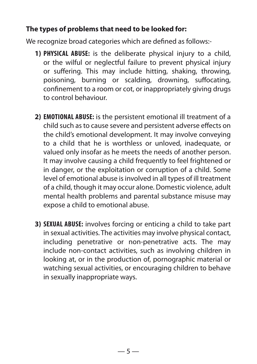### **The types of problems that need to be looked for:**

We recognize broad categories which are defined as follows:-

- **1) PHYSICAL ABUSE:** is the deliberate physical injury to a child, or the wilful or neglectful failure to prevent physical injury or suffering. This may include hitting, shaking, throwing, poisoning, burning or scalding, drowning, suffocating, confinement to a room or cot, or inappropriately giving drugs to control behaviour.
- **2) EMOTIONAL ABUSE:** is the persistent emotional ill treatment of a child such as to cause severe and persistent adverse effects on the child's emotional development. It may involve conveying to a child that he is worthless or unloved, inadequate, or valued only insofar as he meets the needs of another person. It may involve causing a child frequently to feel frightened or in danger, or the exploitation or corruption of a child. Some level of emotional abuse is involved in all types of ill treatment of a child, though it may occur alone. Domestic violence, adult mental health problems and parental substance misuse may expose a child to emotional abuse.
- **3) SEXUAL ABUSE:** involves forcing or enticing a child to take part in sexual activities. The activities may involve physical contact, including penetrative or non-penetrative acts. The may include non-contact activities, such as involving children in looking at, or in the production of, pornographic material or watching sexual activities, or encouraging children to behave in sexually inappropriate ways.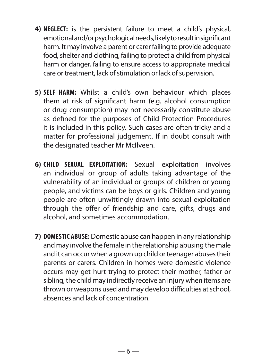- **4) NEGLECT:** is the persistent failure to meet a child's physical, emotional and/or psychological needs, likely to result in significant harm. It may involve a parent or carer failing to provide adequate food, shelter and clothing, failing to protect a child from physical harm or danger, failing to ensure access to appropriate medical care or treatment, lack of stimulation or lack of supervision.
- **5) SELF HARM:** Whilst a child's own behaviour which places them at risk of significant harm (e.g. alcohol consumption or drug consumption) may not necessarily constitute abuse as defined for the purposes of Child Protection Procedures it is included in this policy. Such cases are often tricky and a matter for professional judgement. If in doubt consult with the designated teacher Mr McIlveen.
- **6) CHILD SEXUAL EXPLOITATION:** Sexual exploitation involves an individual or group of adults taking advantage of the vulnerability of an individual or groups of children or young people, and victims can be boys or girls. Children and young people are often unwittingly drawn into sexual exploitation through the offer of friendship and care, gifts, drugs and alcohol, and sometimes accommodation.
- **7) DOMESTIC ABUSE:** Domestic abuse can happen in any relationship and may involve the female in the relationship abusing the male and it can occur when a grown up child or teenager abuses their parents or carers. Children in homes were domestic violence occurs may get hurt trying to protect their mother, father or sibling, the child may indirectly receive an injury when items are thrown or weapons used and may develop difficulties at school, absences and lack of concentration.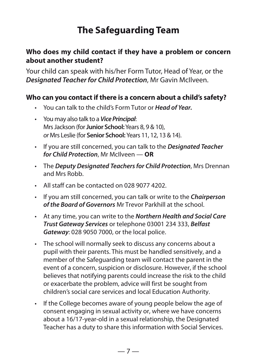### **The Safeguarding Team**

### **Who does my child contact if they have a problem or concern about another student?**

Your child can speak with his/her Form Tutor, Head of Year, or the *Designated Teacher for Child Protection*, Mr Gavin McIlveen.

### **Who can you contact if there is a concern about a child's safety?**

- You can talk to the child's Form Tutor or *Head of Year.*
- You may also talk to a *Vice Principal*: MrsJackson (for **Junior School:**Years 8, 9 & 10), *or* Mrs Leslie (for **Senior School:** Years 11, 12, 13 & 14).
- If you are still concerned, you can talk to the *Designated Teacher for Child Protection*, Mr McIlveen — **OR**
- The *Deputy Designated Teachers for Child Protection*, Mrs Drennan and Mrs Robb.
- All staff can be contacted on 028 9077 4202.
- If you am still concerned, you can talk or write to the *Chairperson of the Board of Governors* Mr Trevor Parkhill at the school.
- At any time, you can write to the *Northern Health and Social Care Trust Gateway Services* or telephone 03001 234 333, *Belfast Gateway*: 028 9050 7000, or the local police.
- The school will normally seek to discuss any concerns about a pupil with their parents. This must be handled sensitively, and a member of the Safeguarding team will contact the parent in the event of a concern, suspicion or disclosure. However, if the school believes that notifying parents could increase the risk to the child or exacerbate the problem, advice will first be sought from children's social care services and local Education Authority.
- If the College becomes aware of young people below the age of consent engaging in sexual activity or, where we have concerns about a 16/17-year-old in a sexual relationship, the Designated Teacher has a duty to share this information with Social Services.